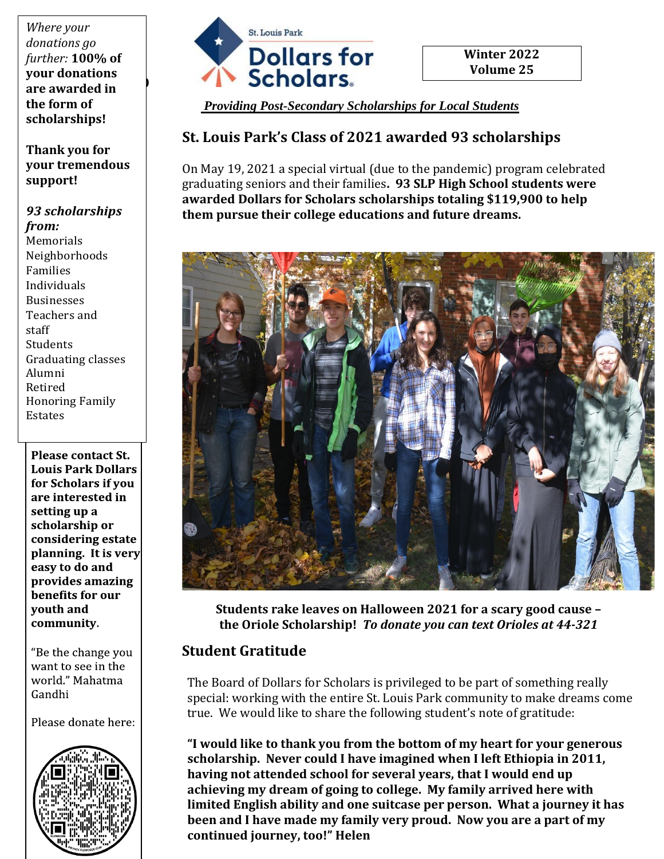are awarded in <sup>1</sup> *Where your donations go further:* **100% of your donations the form of scholarships!** 

**Thank you for your tremendous support!**

#### *93 scholarships*

*from:* Memorials Neighborhoods Families Individuals Businesses Teachers and staff Students Graduating classes Alumni Retired Honoring Family Estates

**Please contact St. Louis Park Dollars** for Scholars if you are interested in setting up a scholarship or considering estate planning. It is very easy to do and provides amazing benefits for our youth and community.

"Be the change you want to see in the world." Mahatma Gandhi

Please donate here:





**Winter 2022 Volume 25**

*Providing Post-Secondary Scholarships for Local Students*

### **St. Louis Park's Class of 2021 awarded 93 scholarships**

On May 19, 2021 a special virtual (due to the pandemic) program celebrated graduating seniors and their families**. 93 SLP High School students were awarded Dollars for Scholars scholarships totaling \$119,900 to help them pursue their college educations and future dreams.**



**Students rake leaves on Halloween 2021 for a scary good cause – the Oriole Scholarship!** *To donate you can text Orioles at 44-321*

### **Student Gratitude**

The Board of Dollars for Scholars is privileged to be part of something really special: working with the entire St. Louis Park community to make dreams come true. We would like to share the following student's note of gratitude:

**"I would like to thank you from the bottom of my heart for your generous scholarship. Never could I have imagined when I left Ethiopia in 2011, having not attended school for several years, that I would end up achieving my dream of going to college. My family arrived here with limited English ability and one suitcase per person. What a journey it has been and I have made my family very proud. Now you are a part of my continued journey, too!" Helen**